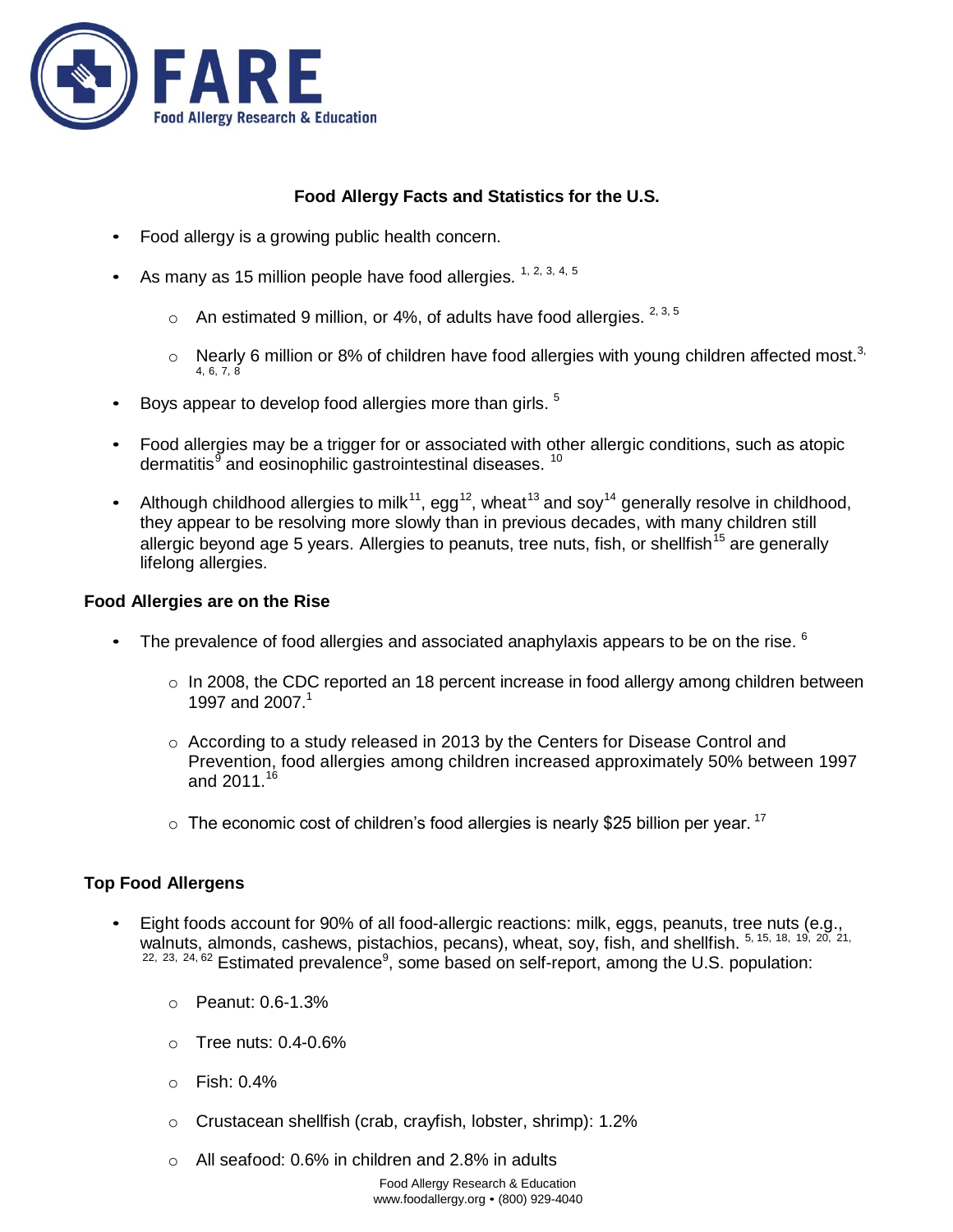

# **Food Allergy Facts and Statistics for the U.S.**

- Food allergy is a growing public health concern.
- As many as 15 million people have food allergies.  $1, 2, 3, 4, 5$ 
	- $\circ$  An estimated 9 million, or 4%, of adults have food allergies.  $^{2,3,5}$
	- $\circ$  Nearly 6 million or 8% of children have food allergies with young children affected most.<sup>3,</sup> 4, 6, 7, 8
- $\bullet$  Boys appear to develop food allergies more than girls.  $^5$
- Food allergies may be a trigger for or associated with other allergic conditions, such as atopic dermatitis<sup>9</sup> and eosinophilic gastrointestinal diseases. <sup>10</sup>
- Although childhood allergies to milk<sup>11</sup>, egg<sup>12</sup>, wheat<sup>13</sup> and soy<sup>14</sup> generally resolve in childhood, they appear to be resolving more slowly than in previous decades, with many children still allergic beyond age 5 years. Allergies to peanuts, tree nuts, fish, or shellfish<sup>15</sup> are generally lifelong allergies.

### **Food Allergies are on the Rise**

- The prevalence of food allergies and associated anaphylaxis appears to be on the rise.  $6$ 
	- $\circ$  In 2008, the CDC reported an 18 percent increase in food allergy among children between 1997 and 2007.<sup>1</sup>
	- $\circ$  According to a study released in 2013 by the Centers for Disease Control and Prevention, food allergies among children increased approximately 50% between 1997 and  $2011^{16}$
	- $\circ$  The economic cost of children's food allergies is nearly \$25 billion per year. <sup>17</sup>

### **Top Food Allergens**

- Eight foods account for 90% of all food-allergic reactions: milk, eggs, peanuts, tree nuts (e.g., walnuts, almonds, cashews, pistachios, pecans), wheat, soy, fish, and shellfish. 5, 15, 18, 19, 20, 21,  $22, 23, 24, 62$  Estimated prevalence<sup>9</sup>, some based on self-report, among the U.S. population:
	- o Peanut: 0.6-1.3%
	- $\circ$  Tree nuts: 0.4-0.6%
	- o Fish: 0.4%
	- o Crustacean shellfish (crab, crayfish, lobster, shrimp): 1.2%
	- o All seafood: 0.6% in children and 2.8% in adults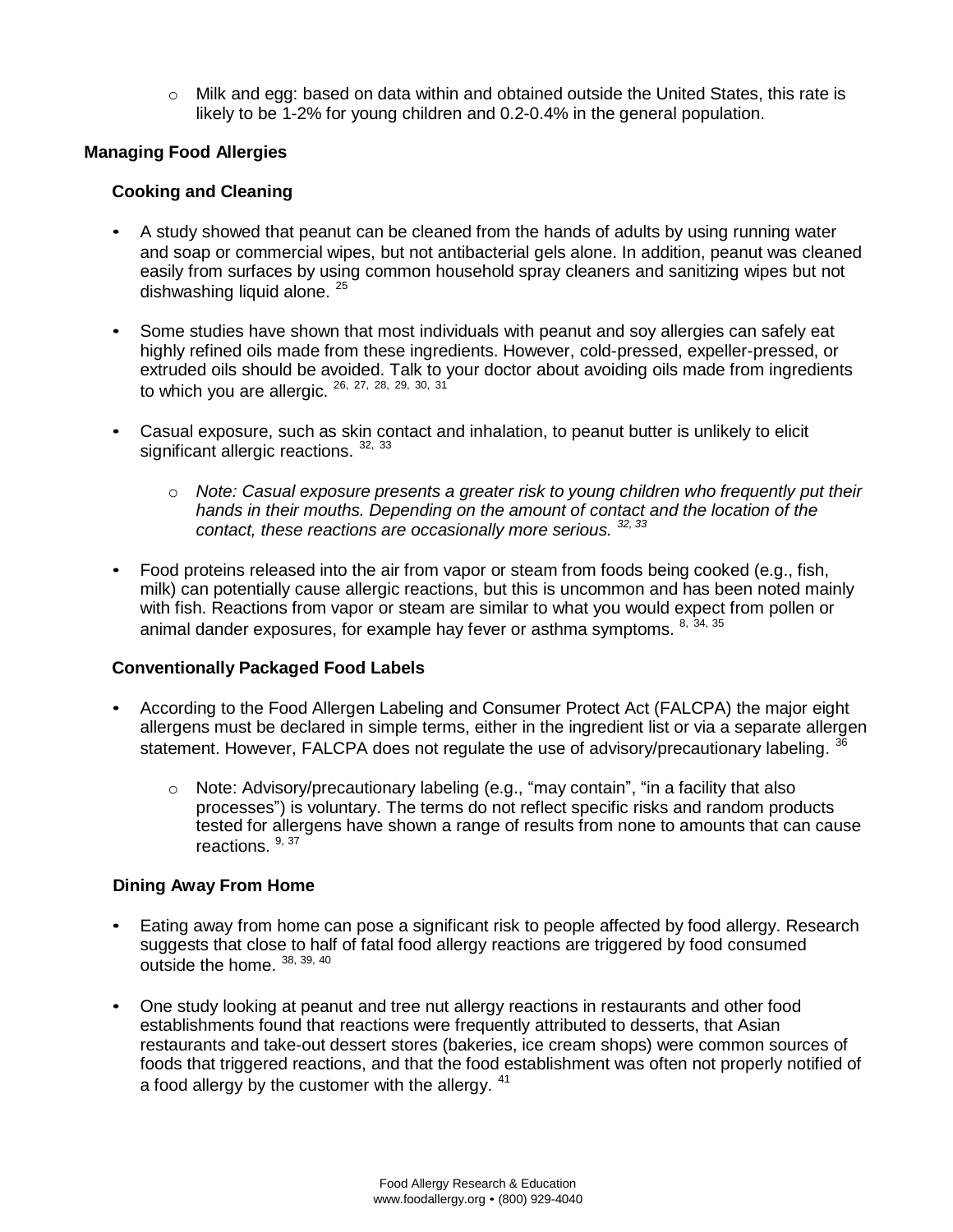$\circ$  Milk and egg: based on data within and obtained outside the United States, this rate is likely to be 1-2% for young children and 0.2-0.4% in the general population.

### **Managing Food Allergies**

### **Cooking and Cleaning**

- A study showed that peanut can be cleaned from the hands of adults by using running water and soap or commercial wipes, but not antibacterial gels alone. In addition, peanut was cleaned easily from surfaces by using common household spray cleaners and sanitizing wipes but not dishwashing liquid alone.<sup>25</sup>
- Some studies have shown that most individuals with peanut and soy allergies can safely eat highly refined oils made from these ingredients. However, cold-pressed, expeller-pressed, or extruded oils should be avoided. Talk to your doctor about avoiding oils made from ingredients to which you are allergic.  $^{26}$ ,  $^{27}$ ,  $^{28}$ ,  $^{29}$ ,  $^{30}$ ,  $^{31}$
- Casual exposure, such as skin contact and inhalation, to peanut butter is unlikely to elicit significant allergic reactions. 32, 33
	- o *Note: Casual exposure presents a greater risk to young children who frequently put their hands in their mouths. Depending on the amount of contact and the location of the contact, these reactions are occasionally more serious. 32, <sup>33</sup>*
- Food proteins released into the air from vapor or steam from foods being cooked (e.g., fish, milk) can potentially cause allergic reactions, but this is uncommon and has been noted mainly with fish. Reactions from vapor or steam are similar to what you would expect from pollen or animal dander exposures, for example hay fever or asthma symptoms. <sup>8, 34, 35</sup>

### **Conventionally Packaged Food Labels**

- According to the Food Allergen Labeling and Consumer Protect Act (FALCPA) the major eight allergens must be declared in simple terms, either in the ingredient list or via a separate allergen statement. However, FALCPA does not regulate the use of advisory/precautionary labeling. <sup>36</sup>
	- o Note: Advisory/precautionary labeling (e.g., "may contain", "in a facility that also processes") is voluntary. The terms do not reflect specific risks and random products tested for allergens have shown a range of results from none to amounts that can cause reactions. <sup>9, 37</sup>

### **Dining Away From Home**

- Eating away from home can pose a significant risk to people affected by food allergy. Research suggests that close to half of fatal food allergy reactions are triggered by food consumed outside the home.  $^{38,39,40}$
- One study looking at peanut and tree nut allergy reactions in restaurants and other food establishments found that reactions were frequently attributed to desserts, that Asian restaurants and take-out dessert stores (bakeries, ice cream shops) were common sources of foods that triggered reactions, and that the food establishment was often not properly notified of a food allergy by the customer with the allergy. <sup>41</sup>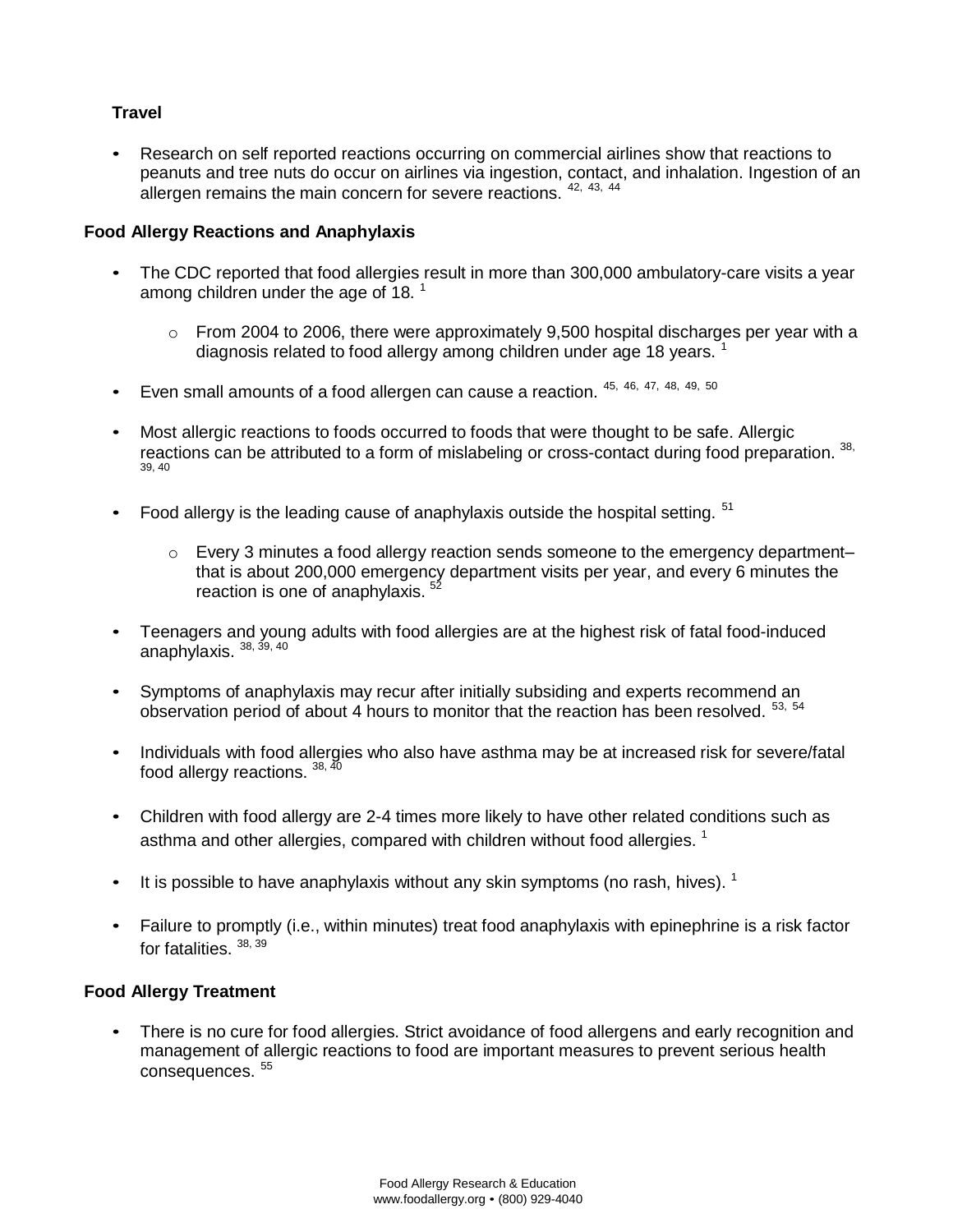# **Travel**

• Research on self reported reactions occurring on commercial airlines show that reactions to peanuts and tree nuts do occur on airlines via ingestion, contact, and inhalation. Ingestion of an allergen remains the main concern for severe reactions.  $42, 43, 44$ 

### **Food Allergy Reactions and Anaphylaxis**

- The CDC reported that food allergies result in more than 300,000 ambulatory-care visits a year among children under the age of 18.  $^1$ 
	- $\circ$  From 2004 to 2006, there were approximately 9,500 hospital discharges per year with a diagnosis related to food allergy among children under age 18 years. <sup>1</sup>
- Even small amounts of a food allergen can cause a reaction. 45, 46, 47, 48, 49, <sup>50</sup>
- Most allergic reactions to foods occurred to foods that were thought to be safe. Allergic reactions can be attributed to a form of mislabeling or cross-contact during food preparation. 38, 39, 40
- Food allergy is the leading cause of anaphylaxis outside the hospital setting.  $51$ 
	- $\circ$  Every 3 minutes a food allergy reaction sends someone to the emergency department– that is about 200,000 emergency department visits per year, and every 6 minutes the reaction is one of anaphylaxis.  $5$
- Teenagers and young adults with food allergies are at the highest risk of fatal food-induced anaphylaxis. <sup>38, 39, 40</sup>
- Symptoms of anaphylaxis may recur after initially subsiding and experts recommend an observation period of about 4 hours to monitor that the reaction has been resolved. <sup>53, 54</sup>
- Individuals with food allergies who also have asthma may be at increased risk for severe/fatal food allergy reactions. 38, 40
- Children with food allergy are 2-4 times more likely to have other related conditions such as asthma and other allergies, compared with children without food allergies.  $^1$
- $\bullet$  It is possible to have anaphylaxis without any skin symptoms (no rash, hives). <sup>1</sup>
- Failure to promptly (i.e., within minutes) treat food anaphylaxis with epinephrine is a risk factor for fatalities. 38, 39

### **Food Allergy Treatment**

• There is no cure for food allergies. Strict avoidance of food allergens and early recognition and management of allergic reactions to food are important measures to prevent serious health consequences.<sup>55</sup>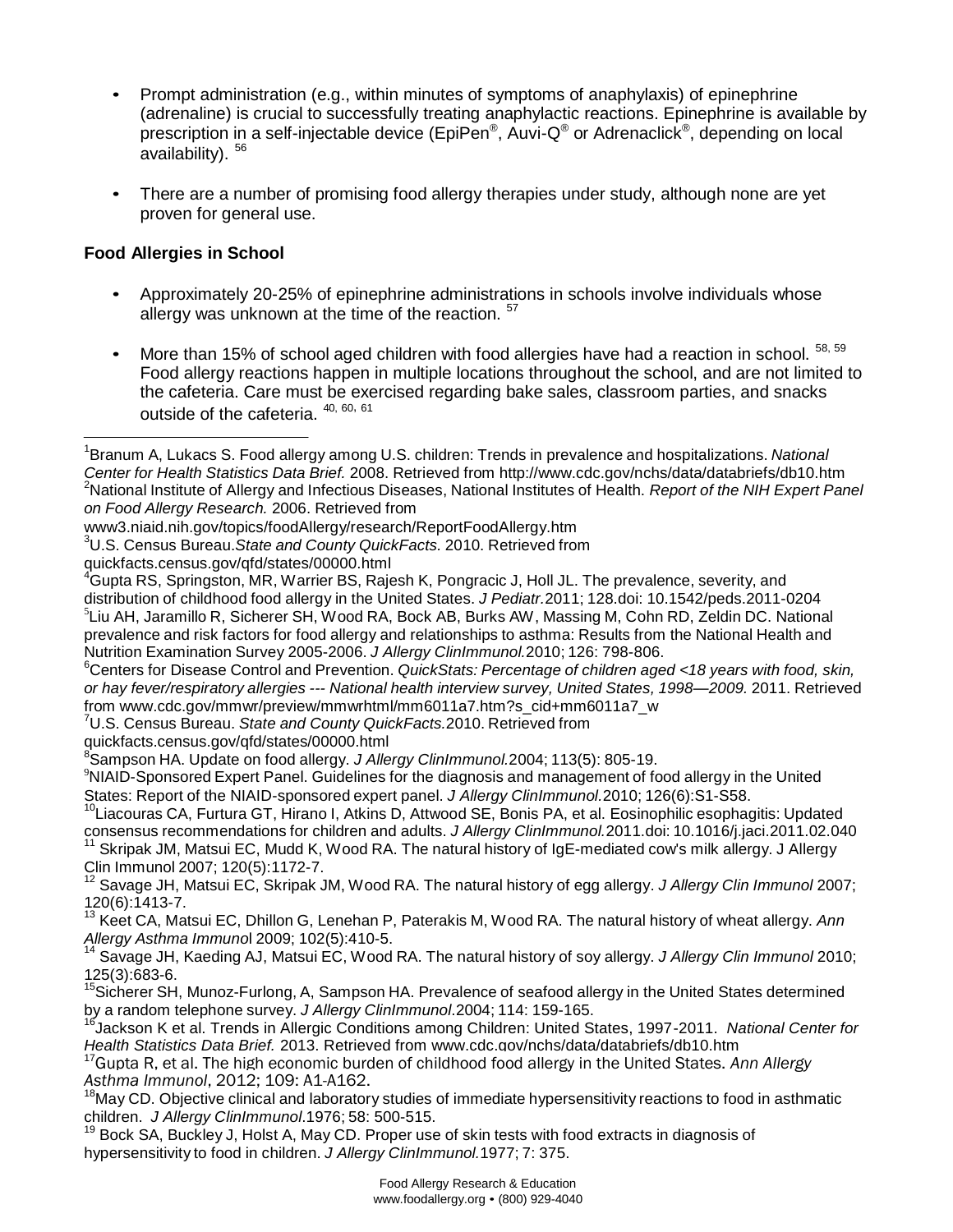- Prompt administration (e.g., within minutes of symptoms of anaphylaxis) of epinephrine (adrenaline) is crucial to successfully treating anaphylactic reactions. Epinephrine is available by prescription in a self-injectable device (EpiPen<sup>®</sup>, Auvi-Q<sup>®</sup> or Adrenaclick<sup>®</sup>, depending on local availability). <sup>56</sup>
- There are a number of promising food allergy therapies under study, although none are yet proven for general use.

### **Food Allergies in School**

- Approximately 20-25% of epinephrine administrations in schools involve individuals whose allergy was unknown at the time of the reaction. <sup>57</sup>
- More than 15% of school aged children with food allergies have had a reaction in school.  $58, 59$ Food allergy reactions happen in multiple locations throughout the school, and are not limited to the cafeteria. Care must be exercised regarding bake sales, classroom parties, and snacks outside of the cafeteria.  $40, 60, 61$

<sup>6</sup>Centers for Disease Control and Prevention. *QuickStats: Percentage of children aged <18 years with food, skin, or hay fever/respiratory allergies --- National health interview survey, United States, 1998—2009.* 2011. Retrieved from [www.cdc.gov/mmwr/preview/mmwrhtml/mm6011a7.htm?s\\_cid+mm6011a7\\_w](http://www.cdc.gov/mmwr/preview/mmwrhtml/mm6011a7.htm?s_cid%2Bmm6011a7_w)

<sup>7</sup>U.S. Census Bureau. *State and County QuickFacts.*2010. Retrieved fro[m](http://quickfacts.census.gov/qfd/states/00000.html)

[quickfacts.census.gov/qfd/states/00000.html](http://quickfacts.census.gov/qfd/states/00000.html) 

8 Sampson HA. Update on food allergy. *J Allergy ClinImmunol.*2004; 113(5): 805-19.

<sup>9</sup>NIAID-Sponsored Expert Panel. Guidelines for the diagnosis and management of food allergy in the United States: Report of the NIAID-sponsored expert panel. *J Allergy ClinImmunol.*2010; 126(6):S1-S58.

<sup>10</sup>Liacouras CA, Furtura GT, Hirano I, Atkins D, Attwood SE, Bonis PA, et al. Eosinophilic esophagitis: Updated consensus recommendations for children and adults. *J Allergy ClinImmunol.*2011.doi: 10.1016/j.jaci.2011.02.040

<sup>11</sup> Skripak JM, Matsui EC, Mudd K, Wood RA. The natural history of IgE-mediated cow's milk allergy. J Allergy Clin Immunol 2007; 120(5):1172-7.

<sup>12</sup> Savage JH, Matsui EC, Skripak JM, Wood RA. The natural history of egg allergy. *J Allergy Clin Immunol* 2007; 120(6):1413-7.

<sup>13</sup> Keet CA, Matsui EC, Dhillon G, Lenehan P, Paterakis M, Wood RA. The natural history of wheat allergy. *Ann Allergy Asthma Immuno*l 2009; 102(5):410-5.

<sup>14</sup> Savage JH, Kaeding AJ, Matsui EC, Wood RA. The natural history of soy allergy. *J Allergy Clin Immunol* 2010; 125(3):683-6.

<sup>15</sup>Sicherer SH, Munoz-Furlong, A, Sampson HA. Prevalence of seafood allergy in the United States determined by a random telephone survey. *J Allergy ClinImmunol*.2004; 114: 159-165.

<sup>16</sup>Jackson K et al. Trends in Allergic Conditions among Children: United States, 1997-2011. *National Center for Health Statistics Data Brief.* 2013. Retrieved from www.cdc.gov/nchs/data/databriefs/db10.htm

<sup>17</sup>Gupta R, et al. The high economic burden of childhood food allergy in the United States. *Ann Allergy Asthma Immunol*, 2012; 109: A1-A162.

<sup>18</sup>May CD. Objective clinical and laboratory studies of immediate hypersensitivity reactions to food in asthmatic children. *J Allergy ClinImmunol*.1976; 58: 500-515.

19 Bock SA, Buckley J, Holst A, May CD. Proper use of skin tests with food extracts in diagnosis of hypersensitivity to food in children. *J Allergy ClinImmunol.*1977; 7: 375.

<sup>1</sup> Branum A, Lukacs S. Food allergy among U.S. children: Trends in prevalence and hospitalizations. *National Center for Health Statistics Data Brief.* 2008. Retrieved from<http://www.cdc.gov/nchs/data/databriefs/db10.htm> <sup>2</sup>National Institute of Allergy and Infectious Diseases, National Institutes of Health. *Report of the NIH Expert Panel on Food Allergy Research.* 2006. Retrieved from

[www3.niaid.nih.gov/topics/foodAllergy/research/ReportFoodAllergy.htm](http://www3.niaid.nih.gov/topics/foodAllergy/research/ReportFoodAllergy.htm)

<sup>3</sup>U.S. Census Bureau.*State and County QuickFacts.* 2010. Retrieved fro[m](http://quickfacts.census.gov/qfd/states/00000.html)

[quickfacts.census.gov/qfd/states/00000.html](http://quickfacts.census.gov/qfd/states/00000.html)

<sup>4</sup>Gupta RS, Springston, MR, Warrier BS, Rajesh K, Pongracic J, Holl JL. The prevalence, severity, and distribution of childhood food allergy in the United States. *J Pediatr.*2011; 128.doi: 10.1542/peds.2011-0204 5 Liu AH, Jaramillo R, Sicherer SH, Wood RA, Bock AB, Burks AW, Massing M, Cohn RD, Zeldin DC. National prevalence and risk factors for food allergy and relationships to asthma: Results from the National Health and Nutrition Examination Survey 2005-2006. *J Allergy ClinImmunol.*2010; 126: 798-806.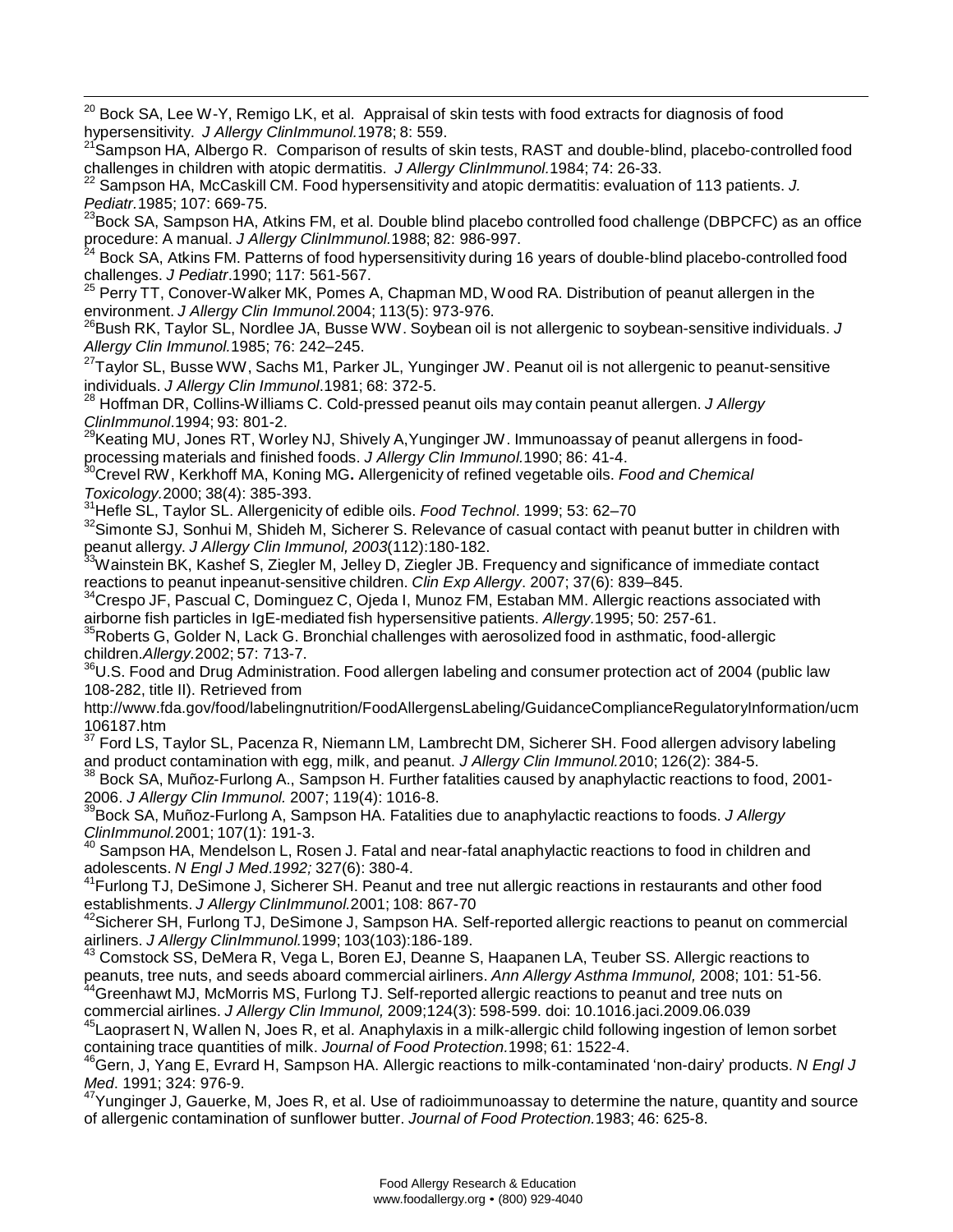<sup>20</sup> Bock SA, Lee W-Y, Remigo LK, et al. Appraisal of skin tests with food extracts for diagnosis of food hypersensitivity. *J Allergy ClinImmunol.*1978; 8: 559.

<sup>21</sup> Sampson HA, Albergo R. Comparison of results of skin tests, RAST and double-blind, placebo-controlled food challenges in children with atopic dermatitis. *J Allergy ClinImmunol.*1984; 74: 26-33.

22 Sampson HA, McCaskill CM. Food hypersensitivity and atopic dermatitis: evaluation of 113 patients. *J. Pediatr.*1985; 107: 669-75.

<sup>23</sup>Bock SA, Sampson HA, Atkins FM, et al. Double blind placebo controlled food challenge (DBPCFC) as an office

procedure: A manual. *J Allergy ClinImmunol.*1988; 82: 986-997.<br><sup>24</sup> Bock SA, Atkins FM. Patterns of food hypersensitivity during 16 years of double-blind placebo-controlled food challenges. *J Pediatr*.1990; 117: 561-567. 25

Perry TT, Conover-Walker MK, Pomes A, Chapman MD, Wood RA. Distribution of peanut allergen in the environment. *J Allergy Clin Immunol.*2004; 113(5): 973-976.

<sup>26</sup>Bush RK, Taylor SL, Nordlee JA, Busse WW. Soybean oil is not allergenic to soybean-sensitive individuals. *J Allergy Clin Immunol.*1985; 76: 242–245.

<sup>27</sup>Taylor SL, Busse WW, Sachs M1, Parker JL, Yunginger JW. Peanut oil is not allergenic to peanut-sensitive individuals. *J Allergy Clin Immunol*.1981; 68: 372-5.

<sup>28</sup> Hoffman DR, Collins-Williams C. Cold-pressed peanut oils may contain peanut allergen. *J Allergy ClinImmunol*.1994; 93: 801-2.

<sup>29</sup>Keating MU, Jones RT, Worley NJ, Shively A,Yunginger JW. Immunoassay of peanut allergens in foodprocessing materials and finished foods. *J Allergy Clin Immunol.*1990; 86: 41-4.

<sup>30</sup>Crevel RW, Kerkhoff MA, Koning MG**.** Allergenicity of refined vegetable oils. *Food and Chemical Toxicology.*2000; 38(4): 385-393.

<sup>31</sup>Hefle SL, Taylor SL. Allergenicity of edible oils. *Food Technol*. 1999; 53: 62–70

 $32$ Simonte SJ, Sonhui M, Shideh M, Sicherer S. Relevance of casual contact with peanut butter in children with peanut allergy. *J Allergy Clin Immunol, 2003*(112):180-182.

<sup>33</sup>Wainstein BK, Kashef S, Ziegler M, Jelley D, Ziegler JB. Frequency and significance of immediate contact reactions to peanut inpeanut-sensitive children. *Clin Exp Allergy*. 2007; 37(6): 839–845.

<sup>34</sup>Crespo JF, Pascual C, Dominguez C, Ojeda I, Munoz FM, Estaban MM. Allergic reactions associated with airborne fish particles in IgE-mediated fish hypersensitive patients. *Allergy.*1995; 50: 257-61.

<sup>35</sup>Roberts G. Golder N, Lack G. Bronchial challenges with aerosolized food in asthmatic, food-allergic children.*Allergy.*2002; 57: 713-7.

<sup>36</sup>U.S. Food and Drug Administration. Food allergen labeling and consumer protection act of 2004 (public law 108-282, title II). Retrieved fro[m](http://www.fda.gov/food/labelingnutrition/FoodAllergensLabeling/GuidanceComplianceRegulatoryInformation/ucm)

<http://www.fda.gov/food/labelingnutrition/FoodAllergensLabeling/GuidanceComplianceRegulatoryInformation/ucm> 106187.htm

37 Ford LS, Taylor SL, Pacenza R, Niemann LM, Lambrecht DM, Sicherer SH. Food allergen advisory labeling and product contamination with egg, milk, and peanut. *J Allergy Clin Immunol.*2010; 126(2): 384-5.

<sup>38</sup> Bock SA, Muñoz-Furlong A., Sampson H. Further fatalities caused by anaphylactic reactions to food, 2001-2006. *J Allergy Clin Immunol.* 2007; 119(4): 1016-8.

39 Bock SA, Muñoz-Furlong A, Sampson HA. Fatalities due to anaphylactic reactions to foods. *J Allergy ClinImmunol.*2001; 107(1): 191-3.<br><sup>40</sup> Sompass / 11.

Sampson HA, Mendelson L, Rosen J. Fatal and near-fatal anaphylactic reactions to food in children and adolescents. *N Engl J Med*.*1992;* 327(6): 380-4.

<sup>41</sup> Furlong TJ, DeSimone J, Sicherer SH. Peanut and tree nut allergic reactions in restaurants and other food establishments. *J Allergy ClinImmunol.*2001; 108: 867-70

<sup>42</sup>Sicherer SH, Furlong TJ, DeSimone J, Sampson HA. Self-reported allergic reactions to peanut on commercial airliners. *J Allergy ClinImmunol.*1999; 103(103):186-189.

<sup>43</sup> Comstock SS, DeMera R, Vega L, Boren EJ, Deanne S, Haapanen LA, Teuber SS. Allergic reactions to peanuts, tree nuts, and seeds aboard commercial airliners. *Ann Allergy Asthma Immunol,* 2008; 101: 51-56.

<sup>44</sup>Greenhawt MJ, McMorris MS, Furlong TJ. Self-reported allergic reactions to peanut and tree nuts on commercial airlines. *J Allergy Clin Immunol,* 2009;124(3): 598-599. doi: 10.1016.jaci.2009.06.039

<sup>45</sup> Laoprasert N, Wallen N, Joes R, et al. Anaphylaxis in a milk-allergic child following ingestion of lemon sorbet containing trace quantities of milk. *Journal of Food Protection.*1998; 61: 1522-4.

<sup>46</sup>Gern, J, Yang E, Evrard H, Sampson HA. Allergic reactions to milk-contaminated 'non-dairy' products. *N Engl J Med*. 1991; 324: 976-9.

<sup>47</sup>Yunginger J, Gauerke, M, Joes R, et al. Use of radioimmunoassay to determine the nature, quantity and source of allergenic contamination of sunflower butter. *Journal of Food Protection.*1983; 46: 625-8.